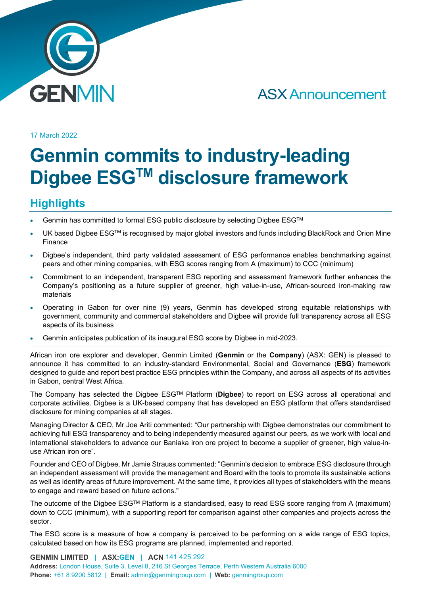

# ASX Announcement

17 March 2022

# **Genmin commits to industry-leading Digbee ESGTM disclosure framework**

## **Highlights**

- Genmin has committed to formal ESG public disclosure by selecting Digbee ESG™
- UK based Digbee ESG™ is recognised by major global investors and funds including BlackRock and Orion Mine Finance
- Digbee's independent, third party validated assessment of ESG performance enables benchmarking against peers and other mining companies, with ESG scores ranging from A (maximum) to CCC (minimum)
- Commitment to an independent, transparent ESG reporting and assessment framework further enhances the Company's positioning as a future supplier of greener, high value-in-use, African-sourced iron-making raw materials
- Operating in Gabon for over nine (9) years, Genmin has developed strong equitable relationships with government, community and commercial stakeholders and Digbee will provide full transparency across all ESG aspects of its business
- Genmin anticipates publication of its inaugural ESG score by Digbee in mid-2023.

African iron ore explorer and developer, Genmin Limited (**Genmin** or the **Company**) (ASX: GEN) is pleased to announce it has committed to an industry-standard Environmental, Social and Governance (**ESG**) framework designed to guide and report best practice ESG principles within the Company, and across all aspects of its activities in Gabon, central West Africa.

The Company has selected the Digbee ESGTM Platform (**Digbee**) to report on ESG across all operational and corporate activities. Digbee is a UK-based company that has developed an ESG platform that offers standardised disclosure for mining companies at all stages.

Managing Director & CEO, Mr Joe Ariti commented: "Our partnership with Digbee demonstrates our commitment to achieving full ESG transparency and to being independently measured against our peers, as we work with local and international stakeholders to advance our Baniaka iron ore project to become a supplier of greener, high value-inuse African iron ore".

Founder and CEO of Digbee, Mr Jamie Strauss commented: "Genmin's decision to embrace ESG disclosure through an independent assessment will provide the management and Board with the tools to promote its sustainable actions as well as identify areas of future improvement. At the same time, it provides all types of stakeholders with the means to engage and reward based on future actions."

The outcome of the Digbee ESGTM Platform is a standardised, easy to read ESG score ranging from A (maximum) down to CCC (minimum), with a supporting report for comparison against other companies and projects across the sector.

The ESG score is a measure of how a company is perceived to be performing on a wide range of ESG topics, calculated based on how its ESG programs are planned, implemented and reported.

**GENMIN LIMITED | ASX:GEN | ACN** 141 425 292 **Address:** London House, Suite 3, Level 8, 216 St Georges Terrace, Perth Western Australia 6000 **Phone:** +61 8 9200 5812 **| Email:** admin@genmingroup.com **| Web:** genmingroup.com